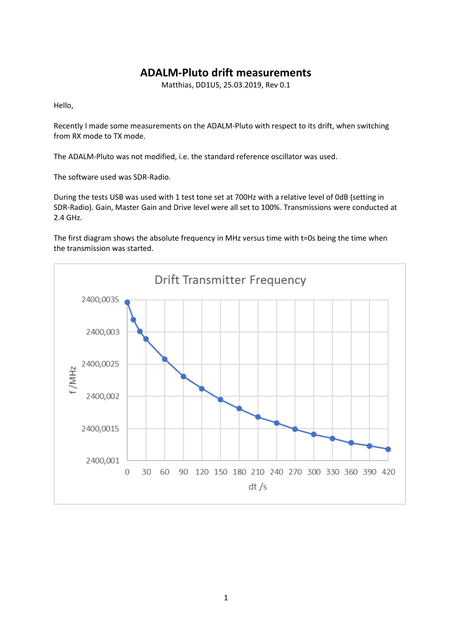## **ADALM-Pluto drift measurements**

Matthias, DD1US, 25.03.2019, Rev 0.1

Hello,

Recently I made some measurements on the ADALM-Pluto with respect to its drift, when switching from RX mode to TX mode.

The ADALM-Pluto was not modified, i.e. the standard reference oscillator was used.

The software used was SDR-Radio.

During the tests USB was used with 1 test tone set at 700Hz with a relative level of 0dB (setting in SDR-Radio). Gain, Master Gain and Drive level were all set to 100%. Transmissions were conducted at 2.4 GHz.

The first diagram shows the absolute frequency in MHz versus time with t=0s being the time when the transmission was started.